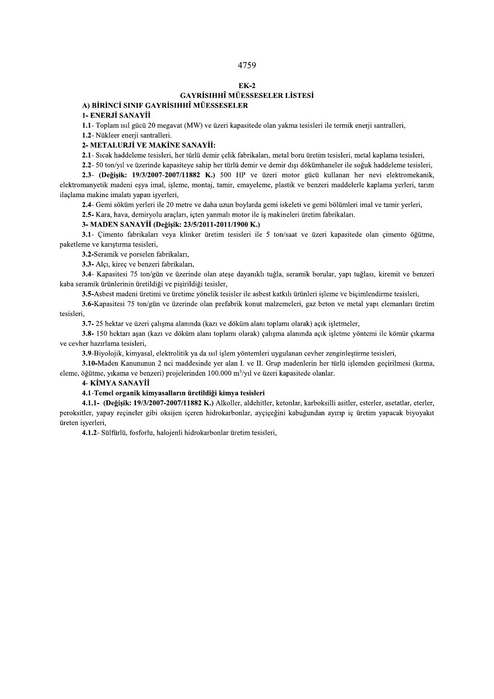### $EK-2$ GAYRİSIHHÎ MÜESSESELER LİSTESİ A) BİRİNCİ SINIF GAYRİSIHHÎ MÜESSESELER

1- ENERJİ SANAYİİ

1.1- Toplam ısıl gücü 20 megavat (MW) ve üzeri kapasitede olan yakma tesisleri ile termik enerji santralleri,

1.2- Nükleer enerji santralleri.

# 2- METALURJİ VE MAKİNE SANAYİİ:

2.1- Sıcak haddeleme tesisleri, her türlü demir çelik fabrikaları, metal boru üretim tesisleri, metal kaplama tesisleri,

2.2- 50 ton/yıl ve üzerinde kapasiteye sahip her türlü demir ve demir dışı dökümhaneler ile soğuk haddeleme tesisleri,

2.3- (Değişik: 19/3/2007-2007/11882 K.) 500 HP ve üzeri motor gücü kullanan her nevi elektromekanik, elektromanyetik madeni eşya imal, işleme, montaj, tamir, emayeleme, plastik ve benzeri maddelerle kaplama yerleri, tarım ilaçlama makine imalatı yapan işyerleri,

2.4- Gemi söküm yerleri ile 20 metre ve daha uzun boylarda gemi iskeleti ve gemi bölümleri imal ve tamir yerleri,

2.5- Kara, hava, demiryolu araçları, içten yanmalı motor ile iş makineleri üretim fabrikaları.

#### 3- MADEN SANAYİİ (Değişik: 23/5/2011-2011/1900 K.)

3.1- Çimento fabrikaları veya klinker üretim tesisleri ile 5 ton/saat ve üzeri kapasitede olan çimento öğütme, paketleme ve karıştırma tesisleri,

3.2-Seramik ve porselen fabrikaları,

3.3- Alçı, kireç ve benzeri fabrikaları,

3.4- Kapasitesi 75 ton/gün ve üzerinde olan ateşe dayanıklı tuğla, seramik borular, yapı tuğlası, kiremit ve benzeri kaba seramik ürünlerinin üretildiği ve pişirildiği tesisler,

3.5-Asbest madeni üretimi ve üretime yönelik tesisler ile asbest katkılı ürünleri isleme ve bicimlendirme tesisleri,

3.6-Kapasitesi 75 ton/gün ve üzerinde olan prefabrik konut malzemeleri, gaz beton ve metal yapı elemanları üretim tesisleri,

3.7-25 hektar ve üzeri çalışma alanında (kazı ve döküm alanı toplamı olarak) açık işletmeler,

3.8-150 hektarı asan (kazı ve döküm alanı toplamı olarak) calısma alanında acık isletme yöntemi ile kömür cıkarma ve cevher hazırlama tesisleri.

3.9-Biyolojik, kimyasal, elektrolitik ya da ısıl işlem yöntemleri uygulanan cevher zenginleştirme tesisleri,

3.10-Maden Kanununun 2 nci maddesinde yer alan I. ve II. Grup madenlerin her türlü işlemden geçirilmesi (kırma, eleme, öğütme, yıkama ve benzeri) projelerinden 100.000 m<sup>3</sup>/yıl ve üzeri kapasitede olanlar.

4- KİMYA SANAYİİ

#### 4.1-Temel organik kimyasalların üretildiği kimya tesisleri

4.1.1- (Değişik: 19/3/2007-2007/11882 K.) Alkoller, aldehitler, ketonlar, karboksilli asitler, esterler, asetatlar, eterler, peroksitler, yapay reçineler gibi oksijen içeren hidrokarbonlar, ayçiçeğini kabuğundan ayırıp iç üretim yapacak biyoyakıt üreten işyerleri,

4.1.2- Sülfürlü, fosforlu, halojenli hidrokarbonlar üretim tesisleri,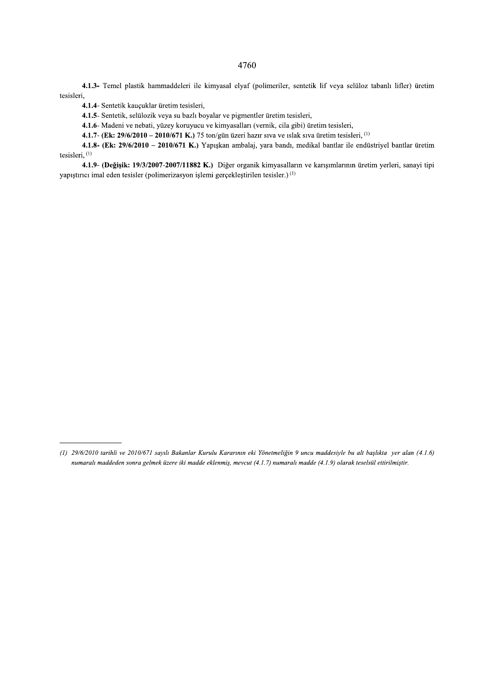4.1.3- Temel plastik hammaddeleri ile kimyasal elyaf (polimeriler, sentetik lif veya selüloz tabanlı lifler) üretim tesisleri,

4.1.4- Sentetik kauçuklar üretim tesisleri,

4.1.5- Sentetik, selülozik veya su bazlı boyalar ve pigmentler üretim tesisleri,

4.1.6- Madeni ve nebati, yüzey koruyucu ve kimyasalları (vernik, cila gibi) üretim tesisleri,

4.1.7- (Ek: 29/6/2010 - 2010/671 K.) 75 ton/gün üzeri hazır sıva ve ıslak sıva üretim tesisleri, (1)

4.1.8- (Ek: 29/6/2010 - 2010/671 K.) Yapışkan ambalaj, yara bandı, medikal bantlar ile endüstriyel bantlar üretim tesisleri, (1)

4.1.9- (Değişik: 19/3/2007-2007/11882 K.) Diğer organik kimyasalların ve karışımlarının üretim yerleri, sanayi tipi yapıştırıcı imal eden tesisler (polimerizasyon işlemi gerçekleştirilen tesisler.)<sup>(1)</sup>

### 4760

<sup>(1) 29/6/2010</sup> tarihli ve 2010/671 sayılı Bakanlar Kurulu Kararının eki Yönetmeliğin 9 uncu maddesiyle bu alt başlıkta yer alan (4.1.6) numaralı maddeden sonra gelmek üzere iki madde eklenmiş, mevcut (4.1.7) numaralı madde (4.1.9) olarak teselsül ettirilmiştir.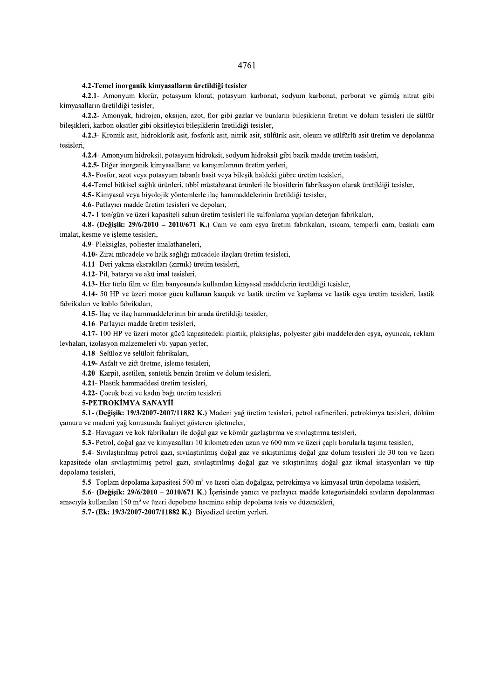4761  $\frac{1}{\sqrt{2}}$ 

# 4.2-Temel inorganik kimyasalların üretildiği tesisler

4761<br>
4.2-Temel inorganik kinyasalların üretildiği tesisler<br>
4.2-1. Amonyun klonir, ponayun kiont, posayun karbant, sodyun kubonat, perborat ve gümüş nitrat gibi<br>
4.21- Amonyun klonica, osayisa, ayot, for gümüş akar ve bu

i,<br> **4.2.4** - Amonyum hidroksit, potasyum hidroksit, sodyum hidroksit gibi bazik madde üretim tesisleri,<br> **4.2.5** - Diğer inorganik kimyasalların ve karışımlarının üretim yerleri,<br> **4.3** - Fosfor, azot veya potasyum tabanl

4.24-2 mootum hiddelsi penastura hidroideis instytuuta hidroideis gibb bazik madde factura technique hidroideis (AL-5 Diger instytutation) in the set of the set of the set of the set of the set of the set of the set of th levhalar, jolalayon malzemeleri vb. yapan yerler,<br>
4.18-Selfaloz ve selfülöti fareltme, işleme tesisleri,<br>
4.20- Asfal ve zelfi üretme, işleme tesisleri,<br>
4.22- Plastik baramaddesi üretim tesisleri,<br>
4.22- Plastik baramad camuru ve madeni yag konusunda faaliyet gösteren işletmeler,<br>
5.2- Havagazı ve kok fabrikaları ile doğal gaz ve kömür gazlaştırma ve sıvılaştırma tesisleri,<br>
5.3- Petrol, doğal gaz ve kimyasalları 10 kilometreden uzun ve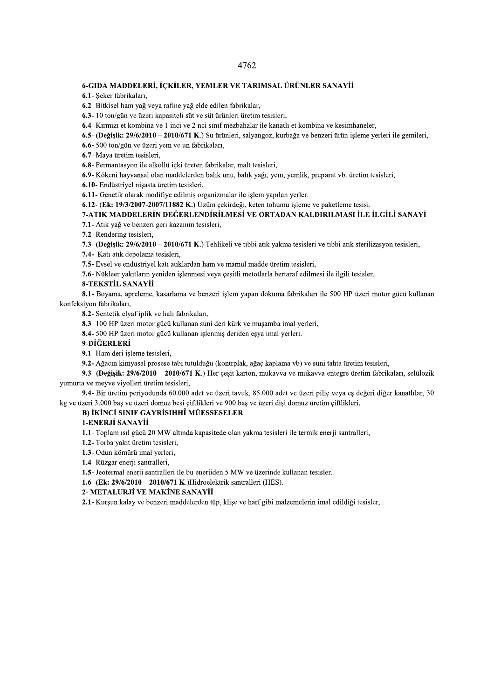#### 6-GIDA MADDELERİ, İÇKİLER, YEMLER VE TARIMSAL ÜRÜNLER SANAYİİ

6.1- Şeker fabrikaları,

6.2- Bitkisel ham yağ veya rafine yağ elde edilen fabrikalar,

6.3-10 ton/gün ve üzeri kapasiteli süt ve süt ürünleri üretim tesisleri,

6.4- Kırmızı et kombina ve 1 inci ve 2 nci sınıf mezbahalar ile kanatlı et kombina ve kesimhaneler,

6.5- (Değisik: 29/6/2010 – 2010/671 K.) Su ürünleri, salyangoz, kurbağa ve benzeri ürün isleme verleri ile gemileri,

6.6-500 ton/gün ve üzeri yem ve un fabrikaları,

6.7- Maya üretim tesisleri,

6.8- Fermantasyon ile alkollü içki üreten fabrikalar, malt tesisleri,

6.9- Kökeni hayvansal olan maddelerden balık unu, balık yağı, yem, yemlik, preparat vb. üretim tesisleri,

6.10- Endüstriyel nişasta üretim tesisleri,

6.11- Genetik olarak modifiye edilmiş organizmalar ile işlem yapılan yerler.

6.12- (Ek: 19/3/2007-2007/11882 K.) Üzüm çekirdeği, keten tohumu işleme ve paketleme tesisi.

### 7-ATIK MADDELERİN DEĞERLENDİRİLMESİ VE ORTADAN KALDIRILMASI İLE İLGİLİ SANAYİ

7.1- Atık yağ ve benzeri geri kazanım tesisleri,

7.2- Rendering tesisleri,

7.3- (Değişik: 29/6/2010 – 2010/671 K.) Tehlikeli ve tibbi atık yakma tesisleri ve tibbi atık sterilizasyon tesisleri,

7.4- Katı atık depolama tesisleri,

7.5- Evsel ve endüstriyel katı atıklardan ham ve mamul madde üretim tesisleri,

7.6- Nükleer yakıtların yeniden işlenmesi veya çeşitli metotlarla bertaraf edilmesi ile ilgili tesisler.

#### 8-TEKSTİL SANAYİİ

8.1- Boyama, apreleme, kasarlama ve benzeri işlem yapan dokuma fabrikaları ile 500 HP üzeri motor gücü kullanan konfeksiyon fabrikaları,

8.2- Sentetik elyaf iplik ve halı fabrikaları,

8.3-100 HP üzeri motor gücü kullanan suni deri kürk ve muşamba imal yerleri,

8.4- 500 HP üzeri motor gücü kullanan işlenmiş deriden eşya imal yerleri.

#### 9-DIĞERLERİ

9.1- Ham deri işleme tesisleri,

9.2- Ağacın kimyasal prosese tabi tutulduğu (kontrplak, ağaç kaplama vb) ve suni tahta üretim tesisleri,

9.3- (Değişik: 29/6/2010 - 2010/671 K.) Her çeşit karton, mukavva ve mukavva entegre üretim fabrikaları, selülozik yumurta ve meyve viyolleri üretim tesisleri,

9.4- Bir üretim periyodunda 60.000 adet ve üzeri tavuk, 85.000 adet ve üzeri piliç veya eş değeri diğer kanatlılar, 30 kg ve üzeri 3.000 baş ve üzeri domuz besi çiftlikleri ve 900 baş ve üzeri dişi domuz üretim çiftlikleri,

#### **B) İKİNCİ SINIF GAYRİSIHHÎ MÜESSESELER**

### 1-ENERJİ SANAYİİ

1.1- Toplam ısıl gücü 20 MW altında kapasitede olan yakma tesisleri ile termik enerji santralleri,

1.2- Torba yakıt üretim tesisleri,

1.3- Odun kömürü imal yerleri,

1.4- Rüzgar enerji santralleri,

1.5- Jeotermal enerji santralleri ile bu enerjiden 5 MW ve üzerinde kullanan tesisler.

1.6- (Ek: 29/6/2010 - 2010/671 K.) Hidroelektrik santralleri (HES).

2- METALURJİ VE MAKİNE SANAYİİ

2.1- Kurşun kalay ve benzeri maddelerden tüp, klişe ve harf gibi malzemelerin imal edildiği tesisler,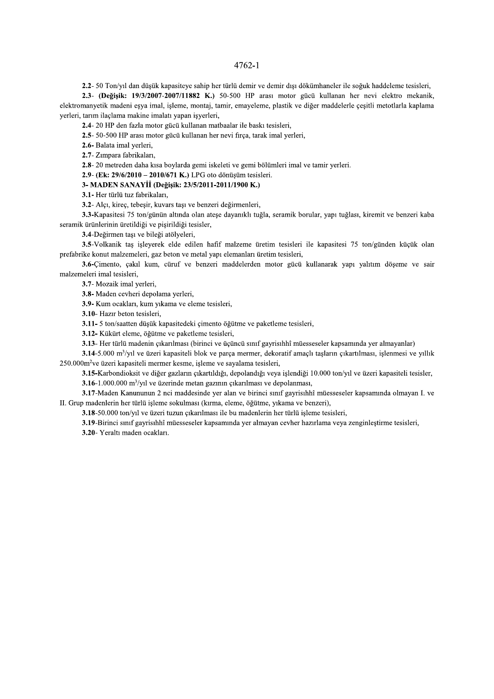#### $4762 - 1$

2.2- 50 Ton/yıl dan düşük kapasiteye sahip her türlü demir ve demir dışı dökümhaneler ile soğuk haddeleme tesisleri,

2.3- (Değişik: 19/3/2007-2007/11882 K.) 50-500 HP arası motor gücü kullanan her nevi elektro mekanik, elektromanyetik madeni esya imal, işleme, montaj, tamir, emayeleme, plastik ve diğer maddelerle çeşitli metotlarla kaplama yerleri, tarım ilaçlama makine imalatı yapan işyerleri,

2.4-20 HP den fazla motor gücü kullanan matbaalar ile baskı tesisleri,

2.5- 50-500 HP arası motor gücü kullanan her nevi firca, tarak imal yerleri,

2.6- Balata imal yerleri,

2.7- Zımpara fabrikaları,

2.8-20 metreden daha kısa boylarda gemi iskeleti ve gemi bölümleri imal ve tamir yerleri.

2.9- (Ek: 29/6/2010 - 2010/671 K.) LPG oto dönüşüm tesisleri.

## 3- MADEN SANAYİİ (Değişik: 23/5/2011-2011/1900 K.)

3.1- Her türlü tuz fabrikaları,

3.2- Alçı, kireç, tebeşir, kuvars taşı ve benzeri değirmenleri,

3.3-Kapasitesi 75 ton/günün altında olan ateşe dayanıklı tuğla, seramik borular, yapı tuğlası, kiremit ve benzeri kaba seramik ürünlerinin üretildiği ve pisirildiği tesisler,

3.4-Değirmen taşı ve bileği atölyeleri,

3.5-Volkanik taş işleyerek elde edilen hafif malzeme üretim tesisleri ile kapasitesi 75 ton/günden küçük olan prefabrike konut malzemeleri, gaz beton ve metal yapı elemanları üretim tesisleri,

3.6-Cimento, çakıl kum, cüruf ve benzeri maddelerden motor gücü kullanarak yapı yalıtım döşeme ve sair malzemeleri imal tesisleri,

3.7- Mozaik imal yerleri,

3.8- Maden cevheri depolama verleri,

3.9- Kum ocakları, kum yıkama ve eleme tesisleri,

3.10- Hazır beton tesisleri,

3.11- 5 ton/saatten düşük kapasitedeki çimento öğütme ve paketleme tesisleri,

3.12- Kükürt eleme, öğütme ve paketleme tesisleri.

3.13- Her türlü madenin çıkarılması (birinci ve üçüncü sınıf gayrisıhhî müesseseler kapsamında yer almayanlar)

 $3.14 - 5.000$  m<sup>3</sup>/yil ve üzeri kapasiteli blok ve parça mermer, dekoratif amaçlı taşların çıkartılması, işlenmesi ve yıllık 250.000m<sup>2</sup> ve üzeri kapasiteli mermer kesme, işleme ve sayalama tesisleri,

3.15-Karbondioksit ve diğer gazların cıkartıldığı, depolandığı veva islendiği 10.000 ton/vıl ve üzeri kapasiteli tesisler.

 $3.16$ -1.000.000 m<sup>3</sup>/y<sub>1</sub>l ve üzerinde metan gazının çıkarılması ve depolanması,

3.17-Maden Kanununun 2 nci maddesinde yer alan ve birinci sınıf gayrisıhhî müesseseler kapsamında olmayan I. ve II. Grup madenlerin her türlü işleme sokulması (kırma, eleme, öğütme, yıkama ve benzeri),

3.18-50.000 ton/yıl ve üzeri tuzun çıkarılması ile bu madenlerin her türlü işleme tesisleri,

3.19-Birinci sınıf gayrisıhhî müesseseler kapsamında yer almayan cevher hazırlama veya zenginleştirme tesisleri, 3.20- Yeraltı maden ocakları.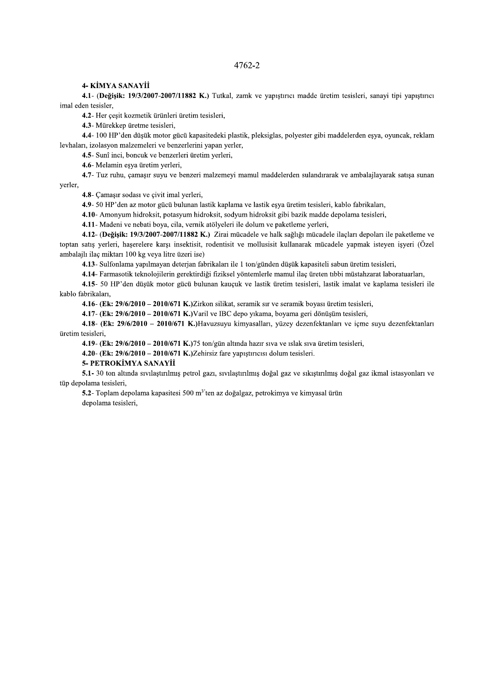### 4- KİMYA SANAYİİ

4.1 (Değişik: 19/3/2007-2007/11882 K.) Tutkal, zamk ve yapıştırıcı madde üretim tesisleri, sanayi tipi yapıştırıcı imal eden tesisler,

4.2- Her çeşit kozmetik ürünleri üretim tesisleri,

4.3- Mürekkep üretme tesisleri,

4.4-100 HP'den düsük motor gücü kapasitedeki plastik, pleksiglas, polyester gibi maddelerden esya, oyuncak, reklam levhaları, izolasyon malzemeleri ve benzerlerini yapan yerler,

4.5- Sunî inci, boncuk ve benzerleri üretim yerleri,

4.6- Melamin eşya üretim yerleri,

4.7- Tuz ruhu, çamaşır suyu ve benzeri malzemeyi mamul maddelerden sulandırarak ve ambalajlayarak satışa sunan yerler,

4.8- Çamaşır sodası ve çivit imal yerleri,

4.9- 50 HP'den az motor gücü bulunan lastik kaplama ve lastik eşya üretim tesisleri, kablo fabrikaları,

4.10- Amonyum hidroksit, potasyum hidroksit, sodyum hidroksit gibi bazik madde depolama tesisleri,

4.11- Madeni ve nebati boya, cila, vernik atölyeleri ile dolum ve paketleme yerleri,

4.12- (Değişik: 19/3/2007-2007/11882 K.) Zirai mücadele ve halk sağlığı mücadele ilaçları depoları ile paketleme ve toptan satış yerleri, haşerelere karşı insektisit, rodentisit ve mollusisit kullanarak mücadele yapmak isteyen işyeri (Özel ambalajlı ilaç miktarı 100 kg veya litre üzeri ise)

4.13- Sulfonlama yapılmayan deterjan fabrikaları ile 1 ton/günden düşük kapasiteli sabun üretim tesisleri,

4.14- Farmasotik teknolojilerin gerektirdiği fiziksel yöntemlerle mamul ilaç üreten tıbbi müstahzarat laboratuarları,

4.15- 50 HP'den düşük motor gücü bulunan kauçuk ve lastik üretim tesisleri, lastik imalat ve kaplama tesisleri ile kablo fabrikaları,

4.16- (Ek: 29/6/2010 - 2010/671 K.) Zirkon silikat, seramik sır ve seramik boyası üretim tesisleri,

4.17- (Ek: 29/6/2010 - 2010/671 K.) Varil ve IBC depo yıkama, boyama geri dönüşüm tesisleri,

4.18- (Ek: 29/6/2010 - 2010/671 K.) Havuzsuyu kimyasalları, yüzey dezenfektanları ve içme suyu dezenfektanları üretim tesisleri.

4.19- (Ek: 29/6/2010 - 2010/671 K.)75 ton/gün altında hazır sıva ve ıslak sıva üretim tesisleri,

4.20- (Ek:  $29/6/2010 - 2010/671$  K.) Zehirsiz fare yapıştırıcısı dolum tesisleri.

#### 5- PETROKİMYA SANAYİİ

5.1- 30 ton altında sıvılaştırılmış petrol gazı, sıvılaştırılmış doğal gaz ve sıkıştırılmış doğal gaz ikmal istasyonları ve tüp depolama tesisleri,

5.2- Toplam depolama kapasitesi 500 m<sup>3</sup>'ten az doğalgaz, petrokimya ve kimyasal ürün depolama tesisleri,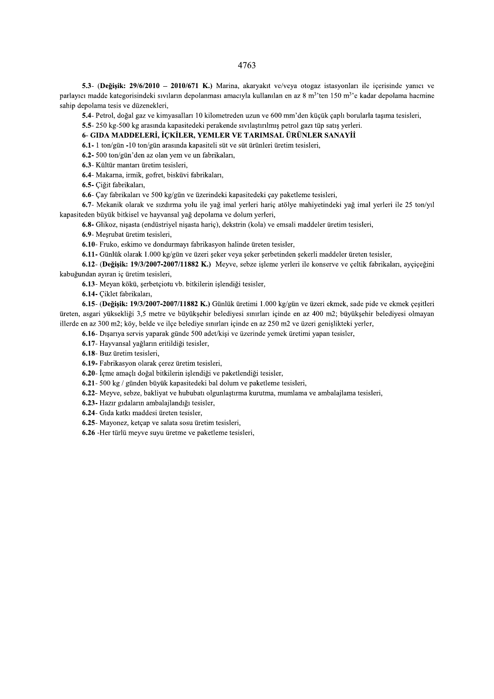5.3- (Değişik: 29/6/2010 - 2010/671 K.) Marina, akaryakıt ve/veya otogaz istasyonları ile içerisinde yanıcı ve parlayıcı madde kategorisindeki sıvıların depolanması amacıyla kullanılan en az 8 m<sup>3</sup>'ten 150 m<sup>3</sup>'e kadar depolama hacmine sahip depolama tesis ve düzenekleri,

5.4- Petrol, doğal gaz ve kimyasalları 10 kilometreden uzun ve 600 mm'den küçük çaplı borularla taşıma tesisleri,

5.5-250 kg-500 kg arasında kapasitedeki perakende sıyılastırılmış petrol gazı tüp satıs verleri.

# 6- GIDA MADDELERİ, İCKİLER, YEMLER VE TARIMSAL ÜRÜNLER SANAYİİ

 $6.1 - 1$  ton/gün -10 ton/gün arasında kapasiteli süt ve süt ürünleri üretim tesisleri,

6.2-500 ton/gün'den az olan yem ve un fabrikaları,

6.3- Kültür mantarı üretim tesisleri,

6.4- Makarna, irmik, gofret, bisküvi fabrikaları,

6.5- Çiğit fabrikaları,

6.6- Çay fabrikaları ve 500 kg/gün ve üzerindeki kapasitedeki çay paketleme tesisleri,

6.7- Mekanik olarak ve sızdırma yolu ile yağ imal yerleri hariç atölye mahiyetindeki yağ imal yerleri ile 25 ton/yıl kapasiteden büyük bitkisel ve hayvansal yağ depolama ve dolum yerleri,

6.8- Glikoz, nişasta (endüstriyel nişasta hariç), dekstrin (kola) ve emsali maddeler üretim tesisleri,

6.9- Mesrubat üretim tesisleri.

6.10- Fruko, eskimo ve dondurmayı fabrikasyon halinde üreten tesisler,

6.11- Günlük olarak 1.000 kg/gün ve üzeri seker veya şeker serbetinden sekerli maddeler üreten tesisler,

6.12- (Değişik: 19/3/2007-2007/11882 K.) Meyve, sebze işleme yerleri ile konserve ve çeltik fabrikaları, ayçiçeğini kabuğundan ayıran iç üretim tesisleri,

6.13- Meyan kökü, şerbetçiotu vb. bitkilerin işlendiği tesisler,

6.14- Ciklet fabrikaları,

6.15- (Değişik: 19/3/2007-2007/11882 K.) Günlük üretimi 1.000 kg/gün ve üzeri ekmek, sade pide ve ekmek çeşitleri üreten, asgari yüksekliği 3,5 metre ve büyükşehir belediyesi sınırları içinde en az 400 m2; büyükşehir belediyesi olmayan illerde en az 300 m2; köy, belde ve ilçe belediye sınırları içinde en az 250 m2 ve üzeri genişlikteki yerler,

6.16- Dışarıya servis yaparak günde 500 adet/kişi ve üzerinde yemek üretimi yapan tesisler,

6.17- Hayvansal yağların eritildiği tesisler,

6.18- Buz üretim tesisleri,

6.19- Fabrikasyon olarak çerez üretim tesisleri,

6.20- İcme amaclı doğal bitkilerin islendiği ve paketlendiği tesisler.

6.21- 500 kg / günden büyük kapasitedeki bal dolum ve paketleme tesisleri,

6.22- Meyve, sebze, bakliyat ve hububatı olgunlaştırma kurutma, mumlama ve ambalajlama tesisleri,

6.23- Hazır gıdaların ambalajlandığı tesisler,

6.24- Gıda katkı maddesi üreten tesisler,

6.25- Mayonez, ketçap ve salata sosu üretim tesisleri,

6.26 -Her türlü meyve suyu üretme ve paketleme tesisleri,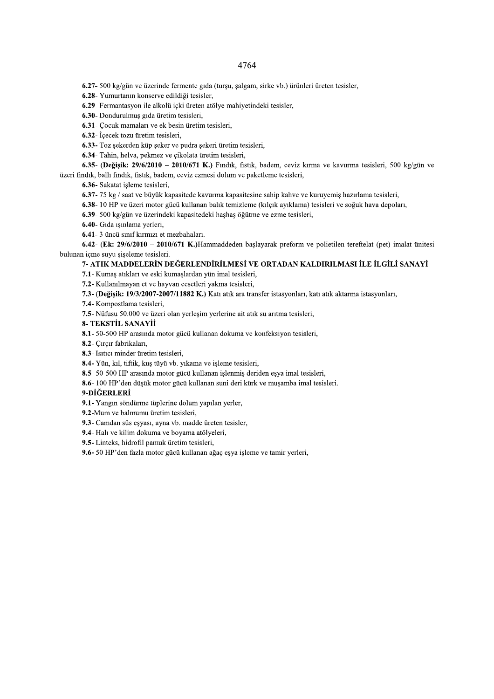6.27- 500 kg/gün ve üzerinde fermente gıda (turşu, şalgam, sirke vb.) ürünleri üreten tesisler,

6.28- Yumurtanın konserve edildiği tesisler,

6.29- Fermantasyon ile alkolü içki üreten atölye mahiyetindeki tesisler,

6.30- Dondurulmuş gıda üretim tesisleri,

6.31- Cocuk mamaları ve ek besin üretim tesisleri,

6.32- İçecek tozu üretim tesisleri,

6.33- Toz şekerden küp şeker ve pudra şekeri üretim tesisleri,

6.34- Tahin, helva, pekmez ve çikolata üretim tesisleri,

6.35- (Değişik: 29/6/2010 - 2010/671 K.) Fındık, fistik, badem, ceviz kırma ve kavurma tesisleri, 500 kg/gün ve üzeri fındık, ballı fındık, fıstık, badem, ceviz ezmesi dolum ve paketleme tesisleri,

6.36- Sakatat isleme tesisleri,

6.37-75 kg / saat ve büyük kapasitede kavurma kapasitesine sahip kahve ve kuruyemiş hazırlama tesisleri,

6.38- 10 HP ve üzeri motor gücü kullanan balık temizleme (kılçık ayıklama) tesisleri ve soğuk hava depoları,

6.39- 500 kg/gün ve üzerindeki kapasitedeki haşhaş öğütme ve ezme tesisleri,

6.40- Gida işinlama yerleri,

6.41-3 üncü sınıf kırmızı et mezbahaları.

6.42- (Ek:  $29/6/2010 - 2010/671$  K.)Hammaddeden başlayarak preform ve polietilen tereftelat (pet) imalat ünitesi bulunan içme suyu siseleme tesisleri.

# 7- ATIK MADDELERİN DEĞERLENDİRİLMESİ VE ORTADAN KALDIRILMASI İLE İLGİLİ SANAYİ

7.1- Kumaş atıkları ve eski kumaşlardan yün imal tesisleri,

7.2- Kullanılmayan et ve hayvan cesetleri yakma tesisleri,

7.3- (Değişik: 19/3/2007-2007/11882 K.) Katı atık ara transfer istasyonları, katı atık aktarma istasyonları,

7.4- Kompostlama tesisleri,

7.5- Nüfusu 50.000 ve üzeri olan yerleşim yerlerine ait atık su arıtma tesisleri,

#### 8- TEKSTİL SANAYİİ

8.1- 50-500 HP arasında motor gücü kullanan dokuma ve konfeksiyon tesisleri,

8.2- Çırçır fabrikaları,

8.3- Isitici minder üretim tesisleri,

8.4- Yün, kıl, tiftik, kuş tüyü vb. yıkama ve işleme tesisleri,

8.5- 50-500 HP arasında motor gücü kullanan işlenmiş deriden eşya imal tesisleri,

8.6-100 HP'den düşük motor gücü kullanan suni deri kürk ve muşamba imal tesisleri.

#### 9-DİĞERLERİ

9.1- Yangın söndürme tüplerine dolum yapılan yerler,

9.2-Mum ve balmumu üretim tesisleri,

9.3- Camdan süs eşyası, ayna vb. madde üreten tesisler,

9.4- Halı ve kilim dokuma ve boyama atölyeleri,

9.5-Linteks, hidrofil pamuk üretim tesisleri,

9.6-50 HP'den fazla motor gücü kullanan ağaç esya işleme ve tamir yerleri,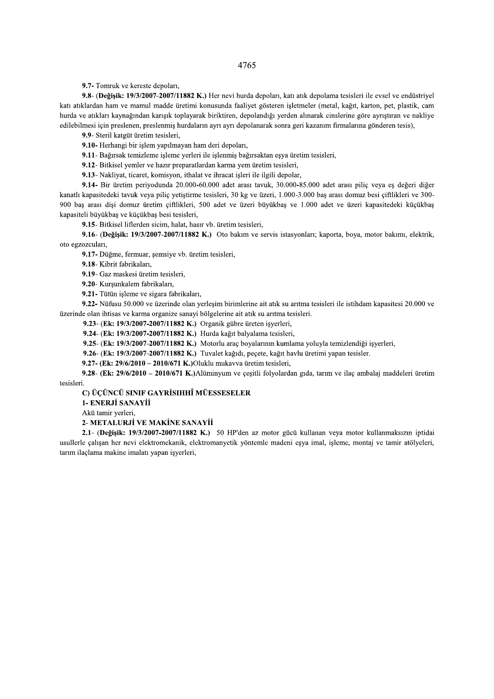9.7- Tomruk ve kereste depoları,

9.8- (Değişik: 19/3/2007-2007/11882 K.) Her nevi hurda depoları, katı atık depolama tesisleri ile evsel ve endüstriyel katı atıklardan ham ve mamul madde üretimi konusunda faaliyet gösteren işletmeler (metal, kağıt, karton, pet, plastik, cam hurda ve atıkları kaynağından karışık toplayarak biriktiren, depolandığı yerden alınarak cinslerine göre ayrıştıran ve nakliye edilebilmesi için preslenen, preslenmiş hurdaların ayrı ayrı depolanarak sonra geri kazanım firmalarına gönderen tesis),

9.9- Steril katgüt üretim tesisleri,

9.10- Herhangi bir islem yapılmayan ham deri depoları,

9.11- Bağırsak temizleme işleme yerleri ile işlenmiş bağırsaktan eşya üretim tesisleri,

9.12- Bitkisel yemler ve hazır preparatlardan karma yem üretim tesisleri,

9.13- Nakliyat, ticaret, komisyon, ithalat ve ihracat işleri ile ilgili depolar,

9.14- Bir üretim periyodunda 20.000-60.000 adet arası tavuk, 30.000-85.000 adet arası pilic veya es değeri diğer kanatlı kapasitedeki tavuk veya piliç yetiştirme tesisleri, 30 kg ve üzeri, 1.000-3.000 baş arası domuz besi çiftlikleri ve 300-900 baş arası dişi domuz üretim çiftlikleri, 500 adet ve üzeri büyükbaş ve 1.000 adet ve üzeri kapasitedeki küçükbaş kapasiteli büyükbaş ve küçükbaş besi tesisleri,

9.15- Bitkisel liflerden sicim, halat, hasır vb. üretim tesisleri,

9.16- (Değişik: 19/3/2007-2007/11882 K.) Oto bakım ve servis istasyonları; kaporta, boya, motor bakımı, elektrik, oto egzozcuları.

9.17- Düğme, fermuar, şemsiye vb. üretim tesisleri,

9.18- Kibrit fabrikaları.

9.19- Gaz maskesi üretim tesisleri,

9.20- Kurşunkalem fabrikaları,

9.21- Tütün isleme ve sigara fabrikaları,

9.22- Nüfusu 50.000 ve üzerinde olan yerleşim birimlerine ait atık su arıtma tesisleri ile istihdam kapasitesi 20.000 ve üzerinde olan ihtisas ve karma organize sanayi bölgelerine ait atık su arıtma tesisleri.

9.23- (Ek: 19/3/2007-2007/11882 K.) Organik gübre üreten isyerleri,

9.24- (Ek: 19/3/2007-2007/11882 K.) Hurda kağıt balvalama tesisleri.

9.25- (Ek: 19/3/2007-2007/11882 K.) Motorlu araç boyalarının kumlama yoluyla temizlendiği işyerleri,

9.26- (Ek: 19/3/2007-2007/11882 K.) Tuvalet kağıdı, peçete, kağıt havlu üretimi yapan tesisler.

9.27- (Ek: 29/6/2010 - 2010/671 K.) Oluklu mukavva üretim tesisleri,

9.28- (Ek: 29/6/2010 - 2010/671 K.) Alüminyum ve çeşitli folyolardan gıda, tarım ve ilaç ambalaj maddeleri üretim tesisleri.

## C) ÜCÜNCÜ SINIF GAYRİSIHHÎ MÜESSESELER

1- ENERJİ SANAYİİ

Akü tamir yerleri,

2- METALURJİ VE MAKİNE SANAYİİ

2.1- (Değisik: 19/3/2007-2007/11882 K.) 50 HP'den az motor gücü kullanan veya motor kullanmaksızın iptidai usullerle calısan her nevi elektromekanik, elektromanyetik yöntemle madeni esya imal, isleme, montaj ve tamir atölyeleri, tarım ilaçlama makine imalatı yapan isyerleri,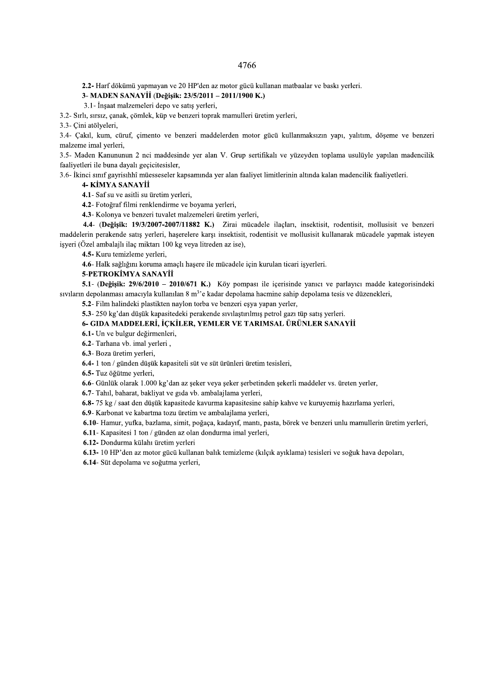2.2- Harf dökümü yapmayan ve 20 HP'den az motor gücü kullanan matbaalar ve baskı yerleri.

### 3- MADEN SANAYİİ (Değişik: 23/5/2011 – 2011/1900 K.)

3.1- İnşaat malzemeleri depo ve satış yerleri,

3.2- Sırlı, sırsız, çanak, çömlek, küp ve benzeri toprak mamulleri üretim yerleri,

3.3- Cini atölveleri.

3.4- Cakıl, kum, cüruf, cimento ve benzeri maddelerden motor gücü kullanmaksızın yapı, yalıtım, döseme ve benzeri malzeme imal yerleri,

3.5- Maden Kanununun 2 nci maddesinde yer alan V. Grup sertifikalı ve yüzeyden toplama usulüyle yapılan madencilik faaliyetleri ile buna dayalı geçicitesisler,

3.6- İkinci sınıf gayrisıhhî müesseseler kapsamında yer alan faaliyet limitlerinin altında kalan madencilik faaliyetleri.

### 4- KİMYA SANAYİİ

4.1- Saf su ve asitli su üretim yerleri,

4.2- Fotoğraf filmi renklendirme ve boyama yerleri,

4.3- Kolonya ve benzeri tuvalet malzemeleri üretim yerleri,

4.4- (Değişik: 19/3/2007-2007/11882 K.) Zirai mücadele ilaçları, insektisit, rodentisit, mollusisit ve benzeri maddelerin perakende satış yerleri, haşerelere karşı insektisit, rodentisit ve mollusisit kullanarak mücadele yapmak isteyen işyeri (Özel ambalajlı ilaç miktarı 100 kg veya litreden az ise),

4.5- Kuru temizleme yerleri,

4.6- Halk sağlığını koruma amaclı hasere ile mücadele için kurulan ticari isverleri.

5-PETROKİMYA SANAYİİ

5.1- (Değişik: 29/6/2010 – 2010/671 K.) Köy pompası ile içerisinde yanıcı ve parlayıcı madde kategorisindeki sivilarin depolanmasi amaciyla kullanılan 8 m<sup>3</sup>'e kadar depolama hacmine sahip depolama tesis ve düzenekleri,

5.2- Film halindeki plastikten naylon torba ve benzeri eşya yapan yerler,

5.3-250 kg'dan düşük kapasitedeki perakende sıvılaştırılmış petrol gazı tüp satış yerleri.

# 6- GIDA MADDELERİ, İÇKİLER, YEMLER VE TARIMSAL ÜRÜNLER SANAYİİ

6.1- Un ve bulgur değirmenleri.

6.2- Tarhana vb. imal yerleri,

6.3- Boza üretim yerleri,

6.4-1 ton / günden düşük kapasiteli süt ve süt ürünleri üretim tesisleri,

6.5- Tuz öğütme verleri.

6.6- Günlük olarak 1.000 kg'dan az şeker veya şeker şerbetinden şekerli maddeler vs. üreten yerler,

6.7- Tahil, baharat, bakliyat ve gida vb. ambalajlama yerleri,

6.8-75 kg / saat den düşük kapasitede kavurma kapasitesine sahip kahve ve kuruyemiş hazırlama yerleri,

6.9- Karbonat ve kabartma tozu üretim ve ambalajlama yerleri,

6.10- Hamur, yufka, bazlama, simit, poğaça, kadayıf, mantı, pasta, börek ve benzeri unlu mamullerin üretim yerleri,

6.11- Kapasitesi 1 ton / günden az olan dondurma imal yerleri,

6.12- Dondurma külahı üretim yerleri

6.13- 10 HP'den az motor gücü kullanan balık temizleme (kılçık ayıklama) tesisleri ve soğuk hava depoları,

6.14- Süt depolama ve soğutma yerleri,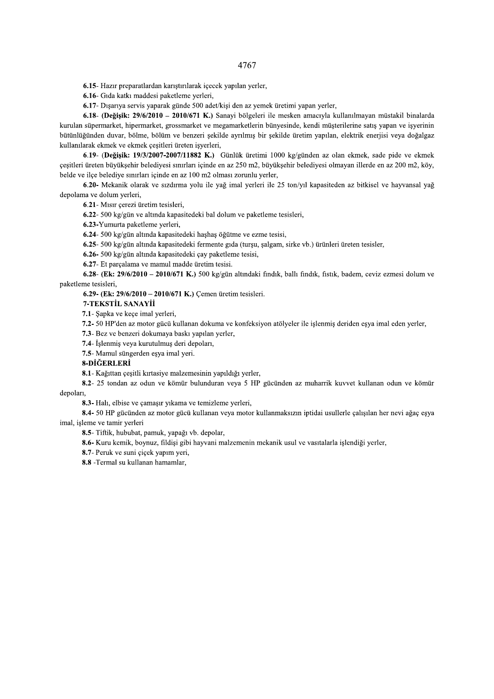6.15- Hazır preparatlardan karıştırılarak içecek yapılan yerler,

6.16- Gida katki maddesi paketleme yerleri,

6.17- Dışarıya servis yaparak günde 500 adet/kişi den az yemek üretimi yapan yerler,

6.18- (Değişik: 29/6/2010 - 2010/671 K.) Sanayi bölgeleri ile mesken amacıyla kullanılmayan müstakil binalarda kurulan süpermarket, hipermarket, grossmarket ve megamarketlerin bünyesinde, kendi müşterilerine satış yapan ve işyerinin bütünlüğünden duvar, bölme, bölüm ve benzeri sekilde ayrılmış bir sekilde üretim yapılan, elektrik enerjisi veya doğalgaz kullanılarak ekmek ve ekmek çesitleri üreten isyerleri,

6.19- (Değişik: 19/3/2007-2007/11882 K.) Günlük üretimi 1000 kg/günden az olan ekmek, sade pide ve ekmek çeşitleri üreten büyükşehir belediyesi sınırları içinde en az 250 m2, büyükşehir belediyesi olmayan illerde en az 200 m2, köy, belde ve ilçe belediye sınırları içinde en az 100 m2 olması zorunlu yerler,

6.20- Mekanik olarak ve sızdırma yolu ile yağ imal yerleri ile 25 ton/yıl kapasiteden az bitkisel ve hayvansal yağ depolama ve dolum yerleri,

6.21- Mısır çerezi üretim tesisleri,

6.22- 500 kg/gün ve altında kapasitedeki bal dolum ve paketleme tesisleri,

6.23-Yumurta paketleme yerleri,

6.24-500 kg/gün altında kapasitedeki haşhaş öğütme ve ezme tesisi,

6.25- 500 kg/gün altında kapasitedeki fermente gıda (turşu, şalgam, sirke vb.) ürünleri üreten tesisler,

6.26-500 kg/gün altında kapasitedeki çay paketleme tesisi,

6.27- Et parcalama ve mamul madde üretim tesisi.

6.28- (Ek:  $29/6/2010 - 2010/671$  K.) 500 kg/gün altındaki findik, ballı findik, fistik, badem, ceviz ezmesi dolum ve paketleme tesisleri,

6.29- (Ek: 29/6/2010 - 2010/671 K.) Cemen üretim tesisleri.

7-TEKSTİL SANAYİİ

7.1- Şapka ve keçe imal yerleri,

7.2- 50 HP'den az motor gücü kullanan dokuma ve konfeksiyon atölyeler ile işlenmiş deriden esya imal eden yerler,

7.3- Bez ve benzeri dokumava baskı vapılan verler.

7.4- İşlenmiş veya kurutulmuş deri depoları,

7.5- Mamul süngerden eşya imal yeri.

#### 8-DİĞERLERİ

8.1 - Kağıttan çesitli kırtasiye malzemesinin yapıldığı yerler.

8.2- 25 tondan az odun ve kömür bulunduran veya 5 HP gücünden az muharrik kuvvet kullanan odun ve kömür depoları,

8.3- Halı, elbise ve çamaşır yıkama ve temizleme yerleri,

8.4- 50 HP gücünden az motor gücü kullanan veya motor kullanmaksızın iptidai usullerle çalışılan her nevi ağaç eşya imal, işleme ve tamir yerleri

8.5- Tiftik, hububat, pamuk, yapağı vb. depolar,

8.6- Kuru kemik, boynuz, fildisi gibi hayvani malzemenin mekanik usul ve vasıtalarla islendiği yerler,

8.7- Peruk ve suni çiçek yapım yeri,

8.8 - Termal su kullanan hamamlar,